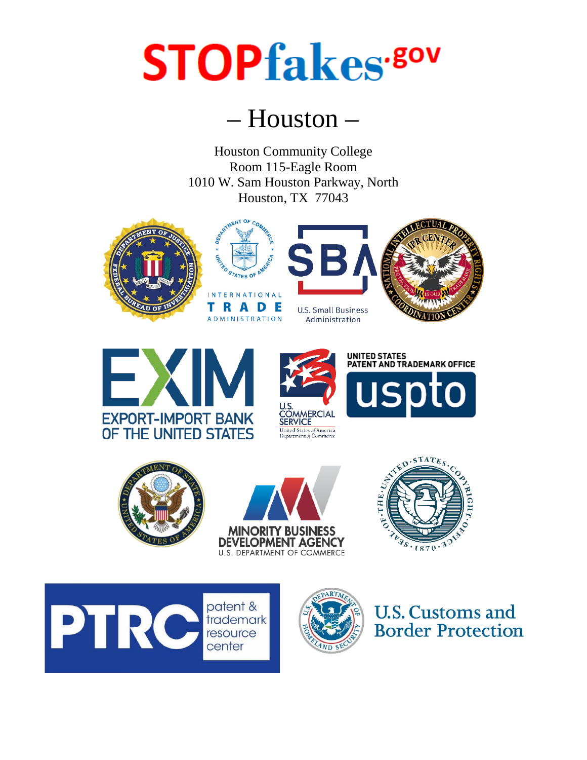## **STOPfakes**.80v

## – Houston –

Houston Community College Room 115-Eagle Room 1010 W. Sam Houston Parkway, North Houston, TX 77043







**U.S. Small Business** Administration



















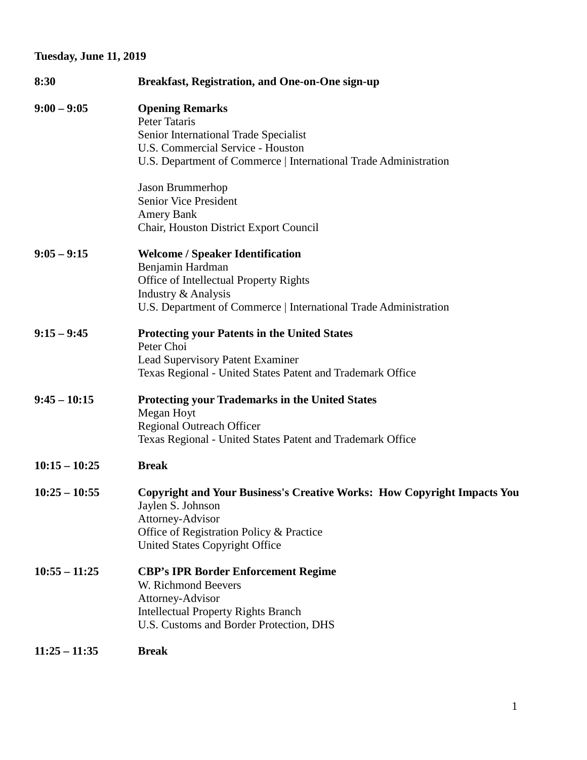## **Tuesday, June 11, 2019**

| 8:30            | <b>Breakfast, Registration, and One-on-One sign-up</b>                                         |
|-----------------|------------------------------------------------------------------------------------------------|
| $9:00 - 9:05$   | <b>Opening Remarks</b><br>Peter Tataris<br>Senior International Trade Specialist               |
|                 | U.S. Commercial Service - Houston                                                              |
|                 | U.S. Department of Commerce   International Trade Administration                               |
|                 | Jason Brummerhop                                                                               |
|                 | Senior Vice President                                                                          |
|                 | Amery Bank                                                                                     |
|                 | Chair, Houston District Export Council                                                         |
| $9:05 - 9:15$   | <b>Welcome / Speaker Identification</b>                                                        |
|                 | Benjamin Hardman                                                                               |
|                 | Office of Intellectual Property Rights<br>Industry & Analysis                                  |
|                 | U.S. Department of Commerce   International Trade Administration                               |
| $9:15 - 9:45$   | <b>Protecting your Patents in the United States</b>                                            |
|                 | Peter Choi                                                                                     |
|                 | <b>Lead Supervisory Patent Examiner</b>                                                        |
|                 | Texas Regional - United States Patent and Trademark Office                                     |
| $9:45 - 10:15$  | <b>Protecting your Trademarks in the United States</b>                                         |
|                 | Megan Hoyt                                                                                     |
|                 | <b>Regional Outreach Officer</b><br>Texas Regional - United States Patent and Trademark Office |
|                 |                                                                                                |
| $10:15 - 10:25$ | <b>Break</b>                                                                                   |
| $10:25 - 10:55$ | <b>Copyright and Your Business's Creative Works: How Copyright Impacts You</b>                 |
|                 | Jaylen S. Johnson                                                                              |
|                 | Attorney-Advisor                                                                               |
|                 | Office of Registration Policy & Practice<br>United States Copyright Office                     |
|                 |                                                                                                |
| $10:55 - 11:25$ | <b>CBP's IPR Border Enforcement Regime</b>                                                     |
|                 | W. Richmond Beevers                                                                            |
|                 | Attorney-Advisor                                                                               |
|                 | <b>Intellectual Property Rights Branch</b>                                                     |
|                 | U.S. Customs and Border Protection, DHS                                                        |
| $11:25 - 11:35$ | <b>Break</b>                                                                                   |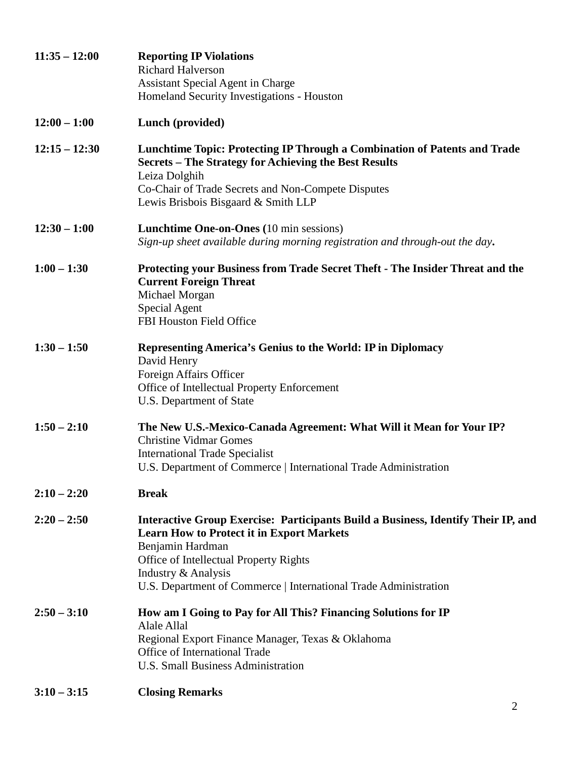| $11:35 - 12:00$ | <b>Reporting IP Violations</b><br><b>Richard Halverson</b><br><b>Assistant Special Agent in Charge</b><br>Homeland Security Investigations - Houston                                                                                                                                           |
|-----------------|------------------------------------------------------------------------------------------------------------------------------------------------------------------------------------------------------------------------------------------------------------------------------------------------|
| $12:00 - 1:00$  | Lunch (provided)                                                                                                                                                                                                                                                                               |
| $12:15 - 12:30$ | Lunchtime Topic: Protecting IP Through a Combination of Patents and Trade<br><b>Secrets – The Strategy for Achieving the Best Results</b><br>Leiza Dolghih<br>Co-Chair of Trade Secrets and Non-Compete Disputes<br>Lewis Brisbois Bisgaard & Smith LLP                                        |
| $12:30 - 1:00$  | <b>Lunchtime One-on-Ones</b> (10 min sessions)<br>Sign-up sheet available during morning registration and through-out the day.                                                                                                                                                                 |
| $1:00 - 1:30$   | Protecting your Business from Trade Secret Theft - The Insider Threat and the<br><b>Current Foreign Threat</b><br>Michael Morgan<br>Special Agent<br>FBI Houston Field Office                                                                                                                  |
| $1:30 - 1:50$   | Representing America's Genius to the World: IP in Diplomacy<br>David Henry<br>Foreign Affairs Officer<br>Office of Intellectual Property Enforcement<br>U.S. Department of State                                                                                                               |
| $1:50 - 2:10$   | The New U.S.-Mexico-Canada Agreement: What Will it Mean for Your IP?<br><b>Christine Vidmar Gomes</b><br><b>International Trade Specialist</b><br>U.S. Department of Commerce   International Trade Administration                                                                             |
| $2:10 - 2:20$   | <b>Break</b>                                                                                                                                                                                                                                                                                   |
| $2:20 - 2:50$   | Interactive Group Exercise: Participants Build a Business, Identify Their IP, and<br><b>Learn How to Protect it in Export Markets</b><br>Benjamin Hardman<br>Office of Intellectual Property Rights<br>Industry & Analysis<br>U.S. Department of Commerce   International Trade Administration |
| $2:50 - 3:10$   | How am I Going to Pay for All This? Financing Solutions for IP<br>Alale Allal<br>Regional Export Finance Manager, Texas & Oklahoma<br>Office of International Trade<br>U.S. Small Business Administration                                                                                      |
| $3:10 - 3:15$   | <b>Closing Remarks</b>                                                                                                                                                                                                                                                                         |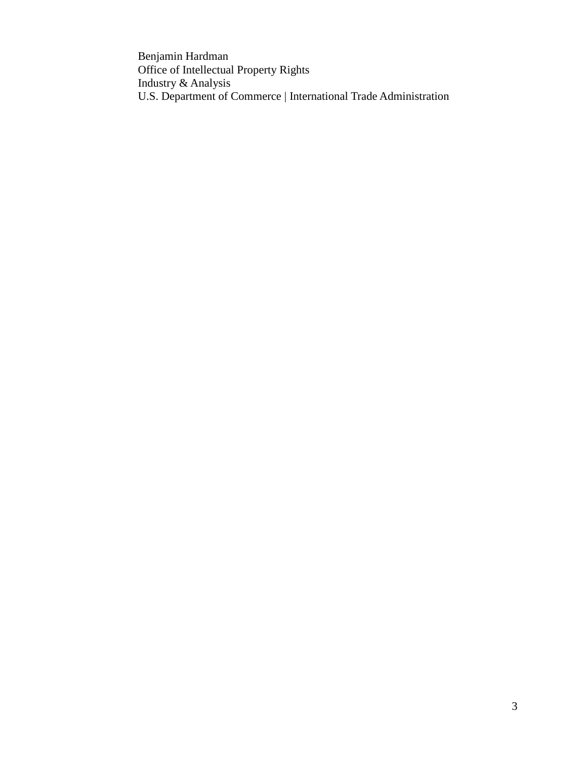Benjamin Hardman Office of Intellectual Property Rights Industry & Analysis U.S. Department of Commerce | International Trade Administration